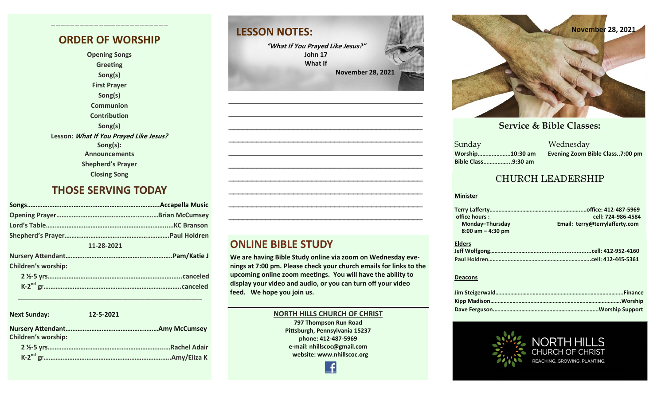### **ORDER OF WORSHIP**

**————————————–————————————**

**Opening Songs Greeting Song(s) First Prayer Song(s) Communion Contribution Song(s) Lesson: What If You Prayed Like Jesus? Song(s): Announcements Shepherd's Prayer Closing Song**

### **THOSE SERVING TODAY**

| .Accapella Music    |  |  |  |  |
|---------------------|--|--|--|--|
|                     |  |  |  |  |
|                     |  |  |  |  |
|                     |  |  |  |  |
| 11-28-2021          |  |  |  |  |
|                     |  |  |  |  |
| Children's worship: |  |  |  |  |
|                     |  |  |  |  |
|                     |  |  |  |  |
|                     |  |  |  |  |

### **Next Sunday: 12-5-2021**

| <b>Children's worship:</b> |  |
|----------------------------|--|
|                            |  |

 **K-2 nd gr………………………………………………………………..Amy/Eliza K**

# **LESSON NOTES:**

**"What If You Prayed Like Jesus?" John 17 What If November 28, 2021**

**—————————————————————————————————————————— —————————————————————————————————————————— —————————————————————————————————————————— —————————————————————————————————————————— —————————————————————————————————————————— —————————————————————————————————————————— —————————————————————————————————————————— —————————————————————————————————————————— —————————————————————————————————————————— ——————————————————————————————————————————**

### **ONLINE BIBLE STUDY**

**We are having Bible Study online via zoom on Wednesday evenings at 7:00 pm. Please check your church emails for links to the upcoming online zoom meetings. You will have the ability to display your video and audio, or you can turn off your video feed. We hope you join us.** 

### **NORTH HILLS CHURCH OF CHRIST**

**797 Thompson Run Road Pittsburgh, Pennsylvania 15237 phone: 412-487-5969 e-mail: nhillscoc@gmail.com website: www.nhillscoc.org** 



#### **September 24, 2017 October 8, 2017 October 15, 2017 October 8, 2017 October 22, 2017 December 10, 2017 December 24, 2017 January 7, 2017 January 7, 2017 February 21, 2021**

**March 18, 2018 January 28, 2018 February 4, 2018 January 21, 2018 Sunday Bible Class……………...9:30 am**

**October 29, 2017 November 5, 2017 November 12, 2017 November 26, 2017 December 17, 2017 December 29, 2019 February 9, 2020 January 26, 2020 February 23, 2020 March 1, 2020 April 5, 2020** Sunday Wednesday **Worship…………………10:30 am Evening Zoom Bible Class..7:00 pm**

### CHURCH LEADERSHIP

#### **Minister**

| office hours:         | cell: 724-986-4584             |
|-----------------------|--------------------------------|
| Monday-Thursday       | Email: terry@terrylafferty.com |
| $8:00$ am $-$ 4:30 pm |                                |
| <b>Elders</b>         |                                |
|                       |                                |

**Paul Holdren………….………………………………………………..cell: 412-445-5361** 

#### **Deacons**